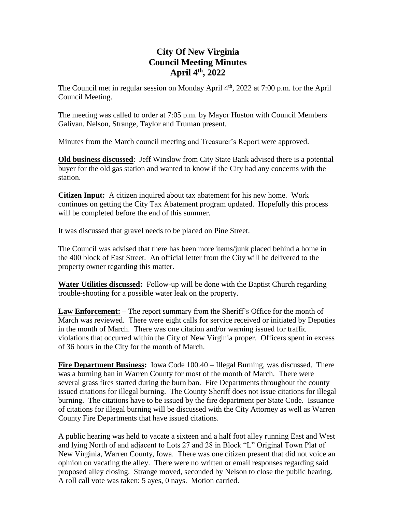## **City Of New Virginia Council Meeting Minutes April 4 th , 2022**

The Council met in regular session on Monday April 4<sup>th</sup>, 2022 at 7:00 p.m. for the April Council Meeting.

The meeting was called to order at 7:05 p.m. by Mayor Huston with Council Members Galivan, Nelson, Strange, Taylor and Truman present.

Minutes from the March council meeting and Treasurer's Report were approved.

**Old business discussed**: Jeff Winslow from City State Bank advised there is a potential buyer for the old gas station and wanted to know if the City had any concerns with the station.

**Citizen Input:** A citizen inquired about tax abatement for his new home. Work continues on getting the City Tax Abatement program updated. Hopefully this process will be completed before the end of this summer.

It was discussed that gravel needs to be placed on Pine Street.

The Council was advised that there has been more items/junk placed behind a home in the 400 block of East Street. An official letter from the City will be delivered to the property owner regarding this matter.

**Water Utilities discussed:** Follow-up will be done with the Baptist Church regarding trouble-shooting for a possible water leak on the property.

**Law Enforcement:** – The report summary from the Sheriff's Office for the month of March was reviewed. There were eight calls for service received or initiated by Deputies in the month of March. There was one citation and/or warning issued for traffic violations that occurred within the City of New Virginia proper. Officers spent in excess of 36 hours in the City for the month of March.

**Fire Department Business:** Iowa Code 100.40 – Illegal Burning, was discussed. There was a burning ban in Warren County for most of the month of March. There were several grass fires started during the burn ban. Fire Departments throughout the county issued citations for illegal burning. The County Sheriff does not issue citations for illegal burning. The citations have to be issued by the fire department per State Code. Issuance of citations for illegal burning will be discussed with the City Attorney as well as Warren County Fire Departments that have issued citations.

A public hearing was held to vacate a sixteen and a half foot alley running East and West and lying North of and adjacent to Lots 27 and 28 in Block "L" Original Town Plat of New Virginia, Warren County, Iowa. There was one citizen present that did not voice an opinion on vacating the alley. There were no written or email responses regarding said proposed alley closing. Strange moved, seconded by Nelson to close the public hearing. A roll call vote was taken: 5 ayes, 0 nays. Motion carried.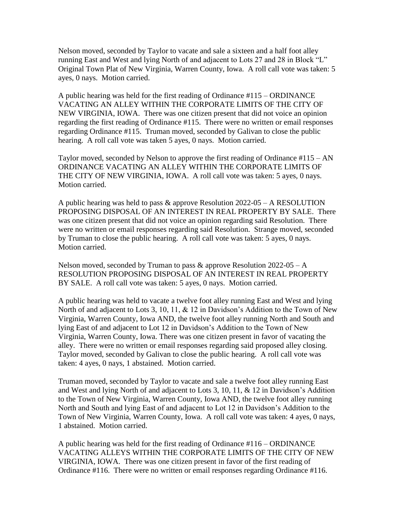Nelson moved, seconded by Taylor to vacate and sale a sixteen and a half foot alley running East and West and lying North of and adjacent to Lots 27 and 28 in Block "L" Original Town Plat of New Virginia, Warren County, Iowa. A roll call vote was taken: 5 ayes, 0 nays. Motion carried.

A public hearing was held for the first reading of Ordinance #115 – ORDINANCE VACATING AN ALLEY WITHIN THE CORPORATE LIMITS OF THE CITY OF NEW VIRGINIA, IOWA. There was one citizen present that did not voice an opinion regarding the first reading of Ordinance #115. There were no written or email responses regarding Ordinance #115. Truman moved, seconded by Galivan to close the public hearing. A roll call vote was taken 5 ayes, 0 nays. Motion carried.

Taylor moved, seconded by Nelson to approve the first reading of Ordinance  $\#115 - AN$ ORDINANCE VACATING AN ALLEY WITHIN THE CORPORATE LIMITS OF THE CITY OF NEW VIRGINIA, IOWA. A roll call vote was taken: 5 ayes, 0 nays. Motion carried.

A public hearing was held to pass & approve Resolution 2022-05 – A RESOLUTION PROPOSING DISPOSAL OF AN INTEREST IN REAL PROPERTY BY SALE. There was one citizen present that did not voice an opinion regarding said Resolution. There were no written or email responses regarding said Resolution. Strange moved, seconded by Truman to close the public hearing. A roll call vote was taken: 5 ayes, 0 nays. Motion carried.

Nelson moved, seconded by Truman to pass  $\&$  approve Resolution 2022-05 – A RESOLUTION PROPOSING DISPOSAL OF AN INTEREST IN REAL PROPERTY BY SALE. A roll call vote was taken: 5 ayes, 0 nays. Motion carried.

A public hearing was held to vacate a twelve foot alley running East and West and lying North of and adjacent to Lots 3, 10, 11, & 12 in Davidson's Addition to the Town of New Virginia, Warren County, Iowa AND, the twelve foot alley running North and South and lying East of and adjacent to Lot 12 in Davidson's Addition to the Town of New Virginia, Warren County, Iowa. There was one citizen present in favor of vacating the alley. There were no written or email responses regarding said proposed alley closing. Taylor moved, seconded by Galivan to close the public hearing. A roll call vote was taken: 4 ayes, 0 nays, 1 abstained. Motion carried.

Truman moved, seconded by Taylor to vacate and sale a twelve foot alley running East and West and lying North of and adjacent to Lots 3, 10, 11, & 12 in Davidson's Addition to the Town of New Virginia, Warren County, Iowa AND, the twelve foot alley running North and South and lying East of and adjacent to Lot 12 in Davidson's Addition to the Town of New Virginia, Warren County, Iowa. A roll call vote was taken: 4 ayes, 0 nays, 1 abstained. Motion carried.

A public hearing was held for the first reading of Ordinance #116 – ORDINANCE VACATING ALLEYS WITHIN THE CORPORATE LIMITS OF THE CITY OF NEW VIRGINIA, IOWA. There was one citizen present in favor of the first reading of Ordinance #116. There were no written or email responses regarding Ordinance #116.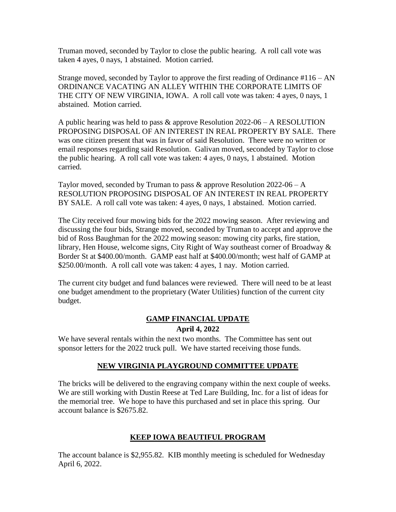Truman moved, seconded by Taylor to close the public hearing. A roll call vote was taken 4 ayes, 0 nays, 1 abstained. Motion carried.

Strange moved, seconded by Taylor to approve the first reading of Ordinance  $\#116 - AN$ ORDINANCE VACATING AN ALLEY WITHIN THE CORPORATE LIMITS OF THE CITY OF NEW VIRGINIA, IOWA. A roll call vote was taken: 4 ayes, 0 nays, 1 abstained. Motion carried.

A public hearing was held to pass & approve Resolution 2022-06 – A RESOLUTION PROPOSING DISPOSAL OF AN INTEREST IN REAL PROPERTY BY SALE. There was one citizen present that was in favor of said Resolution. There were no written or email responses regarding said Resolution. Galivan moved, seconded by Taylor to close the public hearing. A roll call vote was taken: 4 ayes, 0 nays, 1 abstained. Motion carried.

Taylor moved, seconded by Truman to pass  $\&$  approve Resolution 2022-06 – A RESOLUTION PROPOSING DISPOSAL OF AN INTEREST IN REAL PROPERTY BY SALE. A roll call vote was taken: 4 ayes, 0 nays, 1 abstained. Motion carried.

The City received four mowing bids for the 2022 mowing season. After reviewing and discussing the four bids, Strange moved, seconded by Truman to accept and approve the bid of Ross Baughman for the 2022 mowing season: mowing city parks, fire station, library, Hen House, welcome signs, City Right of Way southeast corner of Broadway & Border St at \$400.00/month. GAMP east half at \$400.00/month; west half of GAMP at \$250.00/month. A roll call vote was taken: 4 ayes, 1 nay. Motion carried.

The current city budget and fund balances were reviewed. There will need to be at least one budget amendment to the proprietary (Water Utilities) function of the current city budget.

### **GAMP FINANCIAL UPDATE April 4, 2022**

We have several rentals within the next two months. The Committee has sent out sponsor letters for the 2022 truck pull. We have started receiving those funds.

### **NEW VIRGINIA PLAYGROUND COMMITTEE UPDATE**

The bricks will be delivered to the engraving company within the next couple of weeks. We are still working with Dustin Reese at Ted Lare Building, Inc. for a list of ideas for the memorial tree. We hope to have this purchased and set in place this spring. Our account balance is \$2675.82.

### **KEEP IOWA BEAUTIFUL PROGRAM**

The account balance is \$2,955.82. KIB monthly meeting is scheduled for Wednesday April 6, 2022.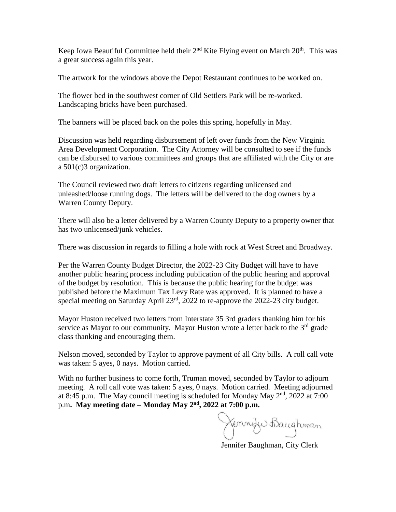Keep Iowa Beautiful Committee held their  $2<sup>nd</sup>$  Kite Flying event on March  $20<sup>th</sup>$ . This was a great success again this year.

The artwork for the windows above the Depot Restaurant continues to be worked on.

The flower bed in the southwest corner of Old Settlers Park will be re-worked. Landscaping bricks have been purchased.

The banners will be placed back on the poles this spring, hopefully in May.

Discussion was held regarding disbursement of left over funds from the New Virginia Area Development Corporation. The City Attorney will be consulted to see if the funds can be disbursed to various committees and groups that are affiliated with the City or are a 501(c)3 organization.

The Council reviewed two draft letters to citizens regarding unlicensed and unleashed/loose running dogs. The letters will be delivered to the dog owners by a Warren County Deputy.

There will also be a letter delivered by a Warren County Deputy to a property owner that has two unlicensed/junk vehicles.

There was discussion in regards to filling a hole with rock at West Street and Broadway.

Per the Warren County Budget Director, the 2022-23 City Budget will have to have another public hearing process including publication of the public hearing and approval of the budget by resolution. This is because the public hearing for the budget was published before the Maximum Tax Levy Rate was approved. It is planned to have a special meeting on Saturday April 23rd, 2022 to re-approve the 2022-23 city budget.

Mayor Huston received two letters from Interstate 35 3rd graders thanking him for his service as Mayor to our community. Mayor Huston wrote a letter back to the  $3<sup>rd</sup>$  grade class thanking and encouraging them.

Nelson moved, seconded by Taylor to approve payment of all City bills. A roll call vote was taken: 5 ayes, 0 nays. Motion carried.

With no further business to come forth, Truman moved, seconded by Taylor to adjourn meeting. A roll call vote was taken: 5 ayes, 0 nays. Motion carried. Meeting adjourned at 8:45 p.m. The May council meeting is scheduled for Monday May 2<sup>nd</sup>, 2022 at 7:00 p.m**. May meeting date – Monday May 2nd , 2022 at 7:00 p.m.** 

Jennife Baughman

Jennifer Baughman, City Clerk